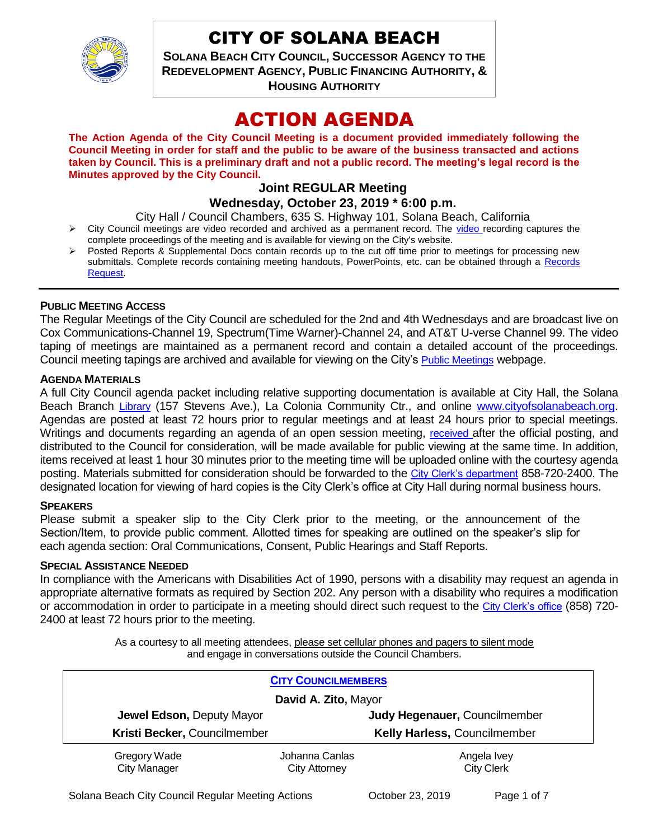

# CITY OF SOLANA BEACH

**SOLANA BEACH CITY COUNCIL, SUCCESSOR AGENCY TO THE REDEVELOPMENT AGENCY, PUBLIC FINANCING AUTHORITY, & HOUSING AUTHORITY** 

# ACTION AGENDA

**The Action Agenda of the City Council Meeting is a document provided immediately following the Council Meeting in order for staff and the public to be aware of the business transacted and actions taken by Council. This is a preliminary draft and not a public record. The meeting's legal record is the Minutes approved by the City Council.**

# **Joint REGULAR Meeting**

**Wednesday, October 23, 2019 \* 6:00 p.m.** 

City Hall / Council Chambers, 635 S. Highway 101, Solana Beach, California

- $\triangleright$  City Council meetings are [video r](https://solanabeach.12milesout.com/#page=1)ecorded and archived as a permanent record. The video recording captures the complete proceedings of the meeting and is available for viewing on the City's website.
- Posted Reports & Supplemental Docs contain records up to the cut off time prior to meetings for processing new submittals. Complete records containing meeting handouts, PowerPoints, etc. can be obtained through a Records [Request.](http://www.ci.solana-beach.ca.us/index.asp?SEC=F5D45D10-70CE-4291-A27C-7BD633FC6742&Type=B_BASIC)

## **PUBLIC MEETING ACCESS**

The Regular Meetings of the City Council are scheduled for the 2nd and 4th Wednesdays and are broadcast live on Cox Communications-Channel 19, Spectrum(Time Warner)-Channel 24, and AT&T U-verse Channel 99. The video taping of meetings are maintained as a permanent record and contain a detailed account of the proceedings. Council meeting tapings are archived and available for viewing on the City's [Public Meetings](https://www.ci.solana-beach.ca.us/index.asp?SEC=F0F1200D-21C6-4A88-8AE1-0BC07C1A81A7&Type=B_BASIC) webpage.

## **AGENDA MATERIALS**

A full City Council agenda packet including relative supporting documentation is available at City Hall, the Solana Beach Branch [Library](http://www.sdcl.org/locations_SB.html) (157 Stevens Ave.), La Colonia Community Ctr., and online [www.cityofsolanabeach.org.](http://www.cityofsolanabeach.org/) Agendas are posted at least 72 hours prior to regular meetings and at least 24 hours prior to special meetings. Writings and documents regarding an agenda of an open session meeting, [received](mailto:EMAILGRP-CityClerksOfc@cosb.org) after the official posting, and distributed to the Council for consideration, will be made available for public viewing at the same time. In addition, items received at least 1 hour 30 minutes prior to the meeting time will be uploaded online with the courtesy agenda posting. Materials submitted for consideration should be forwarded to the [City Clerk's department](mailto:EMAILGRP-CityClerksOfc@cosb.org) 858-720-2400. The designated location for viewing of hard copies is the City Clerk's office at City Hall during normal business hours.

## **SPEAKERS**

Please submit a speaker slip to the City Clerk prior to the meeting, or the announcement of the Section/Item, to provide public comment. Allotted times for speaking are outlined on the speaker's slip for each agenda section: Oral Communications, Consent, Public Hearings and Staff Reports.

#### **SPECIAL ASSISTANCE NEEDED**

In compliance with the Americans with Disabilities Act of 1990, persons with a disability may request an agenda in appropriate alternative formats as required by Section 202. Any person with a disability who requires a modification or accommodation in order to participate in a meeting should direct such request to the [City Clerk's office](mailto:clerkadmin@cosb.org?subject=City%20Clerk%20Notice%20of%20Special%20Services%20Needed) (858) 720- 2400 at least 72 hours prior to the meeting.

> As a courtesy to all meeting attendees, please set cellular phones and pagers to silent mode and engage in conversations outside the Council Chambers.

|                              | <b>CITY COUNCILMEMBERS</b> |                               |  |
|------------------------------|----------------------------|-------------------------------|--|
| David A. Zito, Mayor         |                            |                               |  |
| Jewel Edson, Deputy Mayor    |                            | Judy Hegenauer, Councilmember |  |
| Kristi Becker, Councilmember |                            | Kelly Harless, Councilmember  |  |
| <b>Gregory Wade</b>          | Johanna Canlas             | Angela Ivey                   |  |
| City Manager                 | <b>City Attorney</b>       | <b>City Clerk</b>             |  |

Solana Beach City Council Regular Meeting Actions **Cology Concident 23, 2019** Page 1 of 7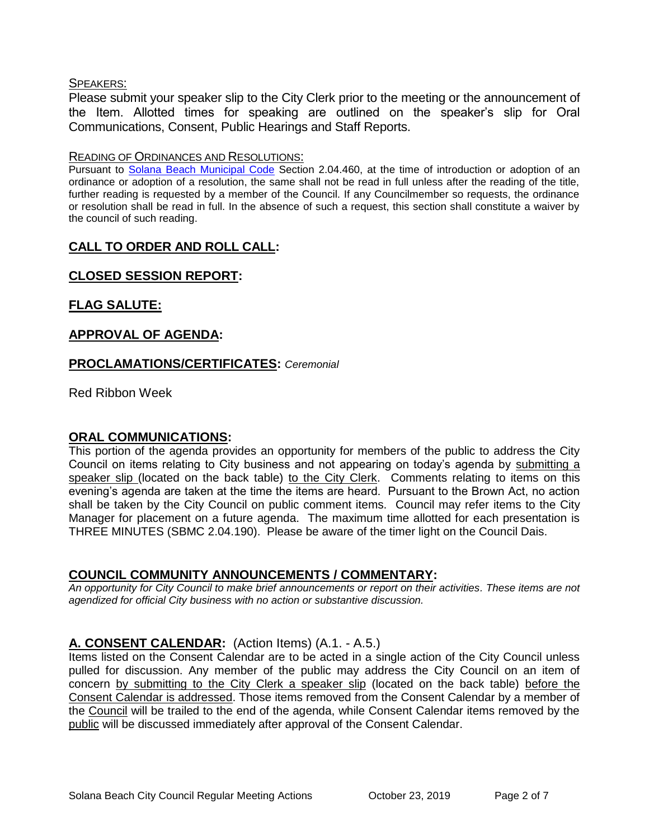## SPEAKERS:

Please submit your speaker slip to the City Clerk prior to the meeting or the announcement of the Item. Allotted times for speaking are outlined on the speaker's slip for Oral Communications, Consent, Public Hearings and Staff Reports.

## READING OF ORDINANCES AND RESOLUTIONS:

Pursuant to [Solana Beach Municipal Code](mailto:https://www.codepublishing.com/CA/SolanaBeach/) Section 2.04.460, at the time of introduction or adoption of an ordinance or adoption of a resolution, the same shall not be read in full unless after the reading of the title, further reading is requested by a member of the Council. If any Councilmember so requests, the ordinance or resolution shall be read in full. In the absence of such a request, this section shall constitute a waiver by the council of such reading.

# **CALL TO ORDER AND ROLL CALL:**

# **CLOSED SESSION REPORT:**

# **FLAG SALUTE:**

# **APPROVAL OF AGENDA:**

# **PROCLAMATIONS/CERTIFICATES:** *Ceremonial*

Red Ribbon Week

# **ORAL COMMUNICATIONS:**

This portion of the agenda provides an opportunity for members of the public to address the City Council on items relating to City business and not appearing on today's agenda by submitting a speaker slip (located on the back table) to the City Clerk. Comments relating to items on this evening's agenda are taken at the time the items are heard. Pursuant to the Brown Act, no action shall be taken by the City Council on public comment items. Council may refer items to the City Manager for placement on a future agenda. The maximum time allotted for each presentation is THREE MINUTES (SBMC 2.04.190). Please be aware of the timer light on the Council Dais.

# **COUNCIL COMMUNITY ANNOUNCEMENTS / COMMENTARY:**

*An opportunity for City Council to make brief announcements or report on their activities. These items are not agendized for official City business with no action or substantive discussion.* 

# **A. CONSENT CALENDAR:** (Action Items) (A.1. - A.5.)

Items listed on the Consent Calendar are to be acted in a single action of the City Council unless pulled for discussion. Any member of the public may address the City Council on an item of concern by submitting to the City Clerk a speaker slip (located on the back table) before the Consent Calendar is addressed. Those items removed from the Consent Calendar by a member of the Council will be trailed to the end of the agenda, while Consent Calendar items removed by the public will be discussed immediately after approval of the Consent Calendar.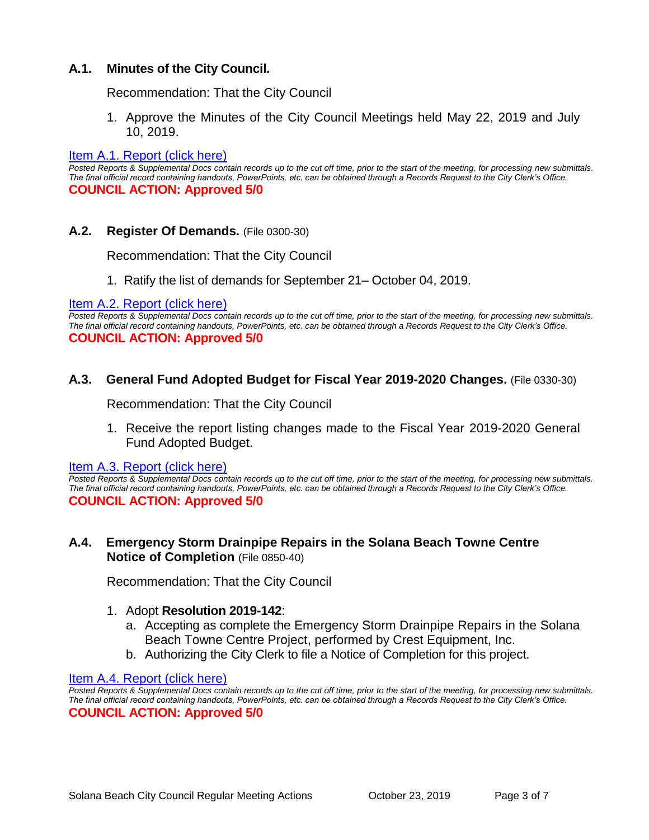# **A.1. Minutes of the City Council.**

Recommendation: That the City Council

1. Approve the Minutes of the City Council Meetings held May 22, 2019 and July 10, 2019.

#### [Item A.1. Report \(click here\)](https://solanabeach.govoffice3.com/vertical/Sites/%7B840804C2-F869-4904-9AE3-720581350CE7%7D/uploads/Item_A.1._Report_(click_here)_10-23-19_-_O.pdf)

*Posted Reports & Supplemental Docs contain records up to the cut off time, prior to the start of the meeting, for processing new submittals. The final official record containing handouts, PowerPoints, etc. can be obtained through a Records Request to the City Clerk's Office.* **COUNCIL ACTION: Approved 5/0**

#### **A.2. Register Of Demands.** (File 0300-30)

Recommendation: That the City Council

1. Ratify the list of demands for September 21– October 04, 2019.

#### [Item A.2. Report \(click here\)](https://solanabeach.govoffice3.com/vertical/Sites/%7B840804C2-F869-4904-9AE3-720581350CE7%7D/uploads/Item_A.2._Report_(click_here)_10-23-19_-_O.pdf)

*Posted Reports & Supplemental Docs contain records up to the cut off time, prior to the start of the meeting, for processing new submittals. The final official record containing handouts, PowerPoints, etc. can be obtained through a Records Request to the City Clerk's Office.* **COUNCIL ACTION: Approved 5/0**

#### **A.3. General Fund Adopted Budget for Fiscal Year 2019-2020 Changes.** (File 0330-30)

Recommendation: That the City Council

1. Receive the report listing changes made to the Fiscal Year 2019-2020 General Fund Adopted Budget.

#### [Item A.3. Report \(click here\)](https://solanabeach.govoffice3.com/vertical/Sites/%7B840804C2-F869-4904-9AE3-720581350CE7%7D/uploads/Item_A.3._Report_(click_here)_10-23-19_-_O.pdf)

*Posted Reports & Supplemental Docs contain records up to the cut off time, prior to the start of the meeting, for processing new submittals. The final official record containing handouts, PowerPoints, etc. can be obtained through a Records Request to the City Clerk's Office.* **COUNCIL ACTION: Approved 5/0**

## **A.4. Emergency Storm Drainpipe Repairs in the Solana Beach Towne Centre Notice of Completion** (File 0850-40)

Recommendation: That the City Council

#### 1. Adopt **Resolution 2019-142**:

- a. Accepting as complete the Emergency Storm Drainpipe Repairs in the Solana Beach Towne Centre Project, performed by Crest Equipment, Inc.
- b. Authorizing the City Clerk to file a Notice of Completion for this project.

#### [Item A.4. Report \(click here\)](https://solanabeach.govoffice3.com/vertical/Sites/%7B840804C2-F869-4904-9AE3-720581350CE7%7D/uploads/Item_A.4._Report_(click_here)_10-23-19_-_O.pdf)

*Posted Reports & Supplemental Docs contain records up to the cut off time, prior to the start of the meeting, for processing new submittals. The final official record containing handouts, PowerPoints, etc. can be obtained through a Records Request to the City Clerk's Office.* **COUNCIL ACTION: Approved 5/0**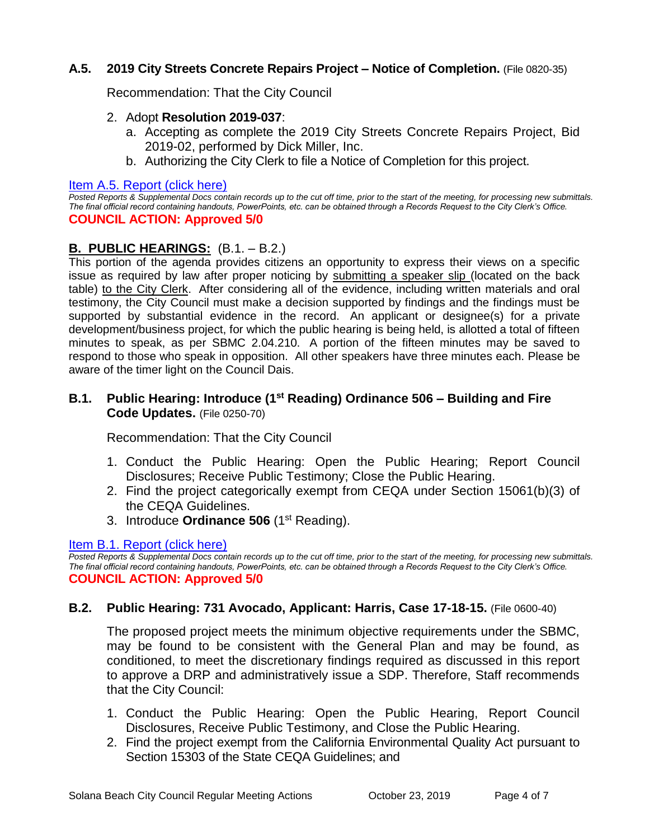# **A.5. 2019 City Streets Concrete Repairs Project – Notice of Completion.** (File 0820-35)

Recommendation: That the City Council

## 2. Adopt **Resolution 2019-037**:

- a. Accepting as complete the 2019 City Streets Concrete Repairs Project, Bid 2019-02, performed by Dick Miller, Inc.
- b. Authorizing the City Clerk to file a Notice of Completion for this project.

## [Item A.5. Report \(click here\)](https://solanabeach.govoffice3.com/vertical/Sites/%7B840804C2-F869-4904-9AE3-720581350CE7%7D/uploads/Item_A.5._Report_(click_here)_10-23-19_-_O.pdf)

*Posted Reports & Supplemental Docs contain records up to the cut off time, prior to the start of the meeting, for processing new submittals. The final official record containing handouts, PowerPoints, etc. can be obtained through a Records Request to the City Clerk's Office.* **COUNCIL ACTION: Approved 5/0**

# **B. PUBLIC HEARINGS:** (B.1. – B.2.)

This portion of the agenda provides citizens an opportunity to express their views on a specific issue as required by law after proper noticing by submitting a speaker slip (located on the back table) to the City Clerk. After considering all of the evidence, including written materials and oral testimony, the City Council must make a decision supported by findings and the findings must be supported by substantial evidence in the record. An applicant or designee(s) for a private development/business project, for which the public hearing is being held, is allotted a total of fifteen minutes to speak, as per SBMC 2.04.210. A portion of the fifteen minutes may be saved to respond to those who speak in opposition. All other speakers have three minutes each. Please be aware of the timer light on the Council Dais.

# **B.1. Public Hearing: Introduce (1 st Reading) Ordinance 506 – Building and Fire Code Updates.** (File 0250-70)

Recommendation: That the City Council

- 1. Conduct the Public Hearing: Open the Public Hearing; Report Council Disclosures; Receive Public Testimony; Close the Public Hearing.
- 2. Find the project categorically exempt from CEQA under Section 15061(b)(3) of the CEQA Guidelines.
- 3. Introduce **Ordinance 506** (1st Reading).

## [Item B.1. Report \(click here\)](https://solanabeach.govoffice3.com/vertical/Sites/%7B840804C2-F869-4904-9AE3-720581350CE7%7D/uploads/Item_B.1._Report_(click_here)_10-23-19_-_O.pdf)

*Posted Reports & Supplemental Docs contain records up to the cut off time, prior to the start of the meeting, for processing new submittals. The final official record containing handouts, PowerPoints, etc. can be obtained through a Records Request to the City Clerk's Office.* **COUNCIL ACTION: Approved 5/0**

# **B.2. Public Hearing: 731 Avocado, Applicant: Harris, Case 17-18-15.** (File 0600-40)

The proposed project meets the minimum objective requirements under the SBMC, may be found to be consistent with the General Plan and may be found, as conditioned, to meet the discretionary findings required as discussed in this report to approve a DRP and administratively issue a SDP. Therefore, Staff recommends that the City Council:

- 1. Conduct the Public Hearing: Open the Public Hearing, Report Council Disclosures, Receive Public Testimony, and Close the Public Hearing.
- 2. Find the project exempt from the California Environmental Quality Act pursuant to Section 15303 of the State CEQA Guidelines; and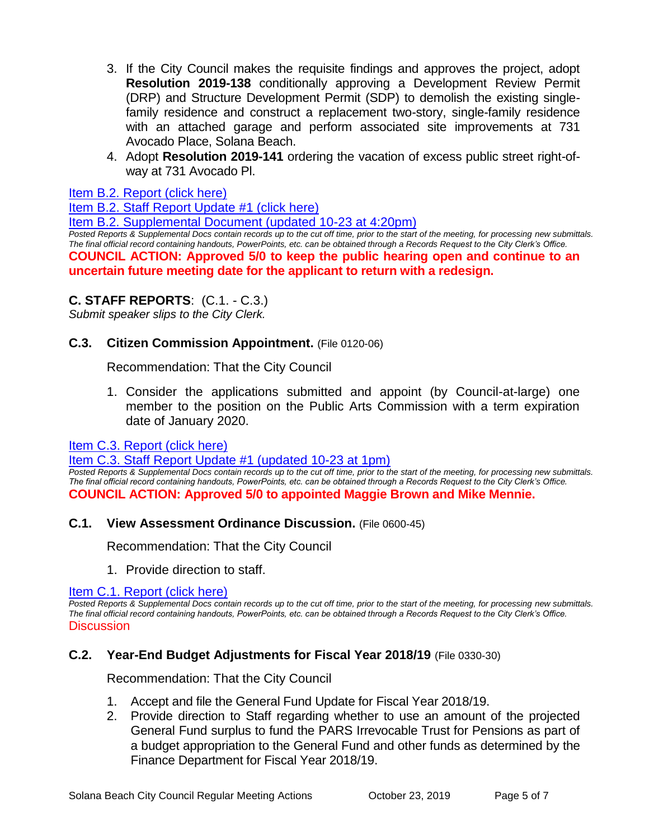- 3. If the City Council makes the requisite findings and approves the project, adopt **Resolution 2019-138** conditionally approving a Development Review Permit (DRP) and Structure Development Permit (SDP) to demolish the existing singlefamily residence and construct a replacement two-story, single-family residence with an attached garage and perform associated site improvements at 731 Avocado Place, Solana Beach.
- 4. Adopt **Resolution 2019-141** ordering the vacation of excess public street right-ofway at 731 Avocado Pl.

## [Item B.2. Report \(click here\)](https://solanabeach.govoffice3.com/vertical/Sites/%7B840804C2-F869-4904-9AE3-720581350CE7%7D/uploads/Item_B.2._Report_(click_here)_10-23-19_-_O.pdf)

[Item B.2. Staff Report Update #1 \(click here\)](https://solanabeach.govoffice3.com/vertical/Sites/%7B840804C2-F869-4904-9AE3-720581350CE7%7D/uploads/Item_B.2._Staff_Report_Update_1_-_O.pdf)

[Item B.2. Supplemental Document \(updated 10-23 at 4:20pm\)](https://solanabeach.govoffice3.com/vertical/Sites/%7B840804C2-F869-4904-9AE3-720581350CE7%7D/uploads/Item_B.2._Supplemental_Items_(10-23_at_417pm)_-_O.pdf)

*Posted Reports & Supplemental Docs contain records up to the cut off time, prior to the start of the meeting, for processing new submittals. The final official record containing handouts, PowerPoints, etc. can be obtained through a Records Request to the City Clerk's Office.* **COUNCIL ACTION: Approved 5/0 to keep the public hearing open and continue to an uncertain future meeting date for the applicant to return with a redesign.** 

# **C. STAFF REPORTS**: (C.1. - C.3.)

*Submit speaker slips to the City Clerk.*

# **C.3. Citizen Commission Appointment.** (File 0120-06)

Recommendation: That the City Council

1. Consider the applications submitted and appoint (by Council-at-large) one member to the position on the Public Arts Commission with a term expiration date of January 2020.

[Item C.3. Report \(click here\)](https://solanabeach.govoffice3.com/vertical/Sites/%7B840804C2-F869-4904-9AE3-720581350CE7%7D/uploads/Item_C.3._Report_(click_here)_10-23-19_-_O.pdf) 

#### [Item C.3. Staff Report Update #1 \(updated 10-23 at 1pm\)](https://solanabeach.govoffice3.com/vertical/Sites/%7B840804C2-F869-4904-9AE3-720581350CE7%7D/uploads/Item_C.3._Staff_Report_Update_1_(updated_10-23_at_1255pm)_-_O.pdf)

*Posted Reports & Supplemental Docs contain records up to the cut off time, prior to the start of the meeting, for processing new submittals. The final official record containing handouts, PowerPoints, etc. can be obtained through a Records Request to the City Clerk's Office.* **COUNCIL ACTION: Approved 5/0 to appointed Maggie Brown and Mike Mennie.** 

## **C.1. View Assessment Ordinance Discussion.** (File 0600-45)

Recommendation: That the City Council

1. Provide direction to staff.

[Item C.1. Report \(click here\)](https://solanabeach.govoffice3.com/vertical/Sites/%7B840804C2-F869-4904-9AE3-720581350CE7%7D/uploads/Item_C.1._Report_(click_here)_10-23-19_-_O.pdf) 

*Posted Reports & Supplemental Docs contain records up to the cut off time, prior to the start of the meeting, for processing new submittals. The final official record containing handouts, PowerPoints, etc. can be obtained through a Records Request to the City Clerk's Office.* **Discussion** 

# **C.2. Year-End Budget Adjustments for Fiscal Year 2018/19** (File 0330-30)

Recommendation: That the City Council

- 1. Accept and file the General Fund Update for Fiscal Year 2018/19.
- 2. Provide direction to Staff regarding whether to use an amount of the projected General Fund surplus to fund the PARS Irrevocable Trust for Pensions as part of a budget appropriation to the General Fund and other funds as determined by the Finance Department for Fiscal Year 2018/19.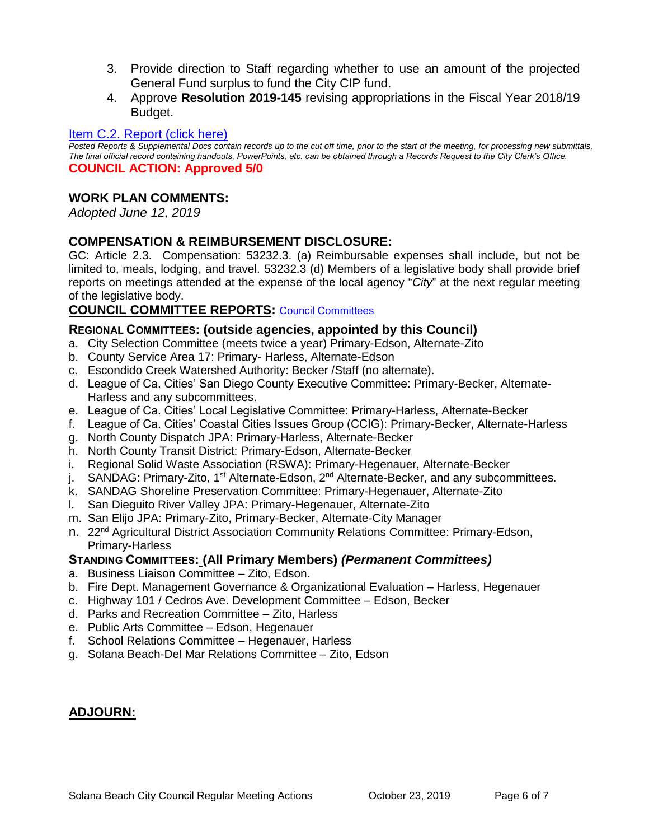- 3. Provide direction to Staff regarding whether to use an amount of the projected General Fund surplus to fund the City CIP fund.
- 4. Approve **Resolution 2019-145** revising appropriations in the Fiscal Year 2018/19 Budget.

## [Item C.2. Report \(click here\)](https://solanabeach.govoffice3.com/vertical/Sites/%7B840804C2-F869-4904-9AE3-720581350CE7%7D/uploads/Item_C.2._Report_(click_here)_10-23-19_-_O.pdf)

*Posted Reports & Supplemental Docs contain records up to the cut off time, prior to the start of the meeting, for processing new submittals. The final official record containing handouts, PowerPoints, etc. can be obtained through a Records Request to the City Clerk's Office.* **COUNCIL ACTION: Approved 5/0**

## **WORK PLAN COMMENTS:**

*Adopted June 12, 2019*

# **COMPENSATION & REIMBURSEMENT DISCLOSURE:**

GC: Article 2.3. Compensation: 53232.3. (a) Reimbursable expenses shall include, but not be limited to, meals, lodging, and travel. 53232.3 (d) Members of a legislative body shall provide brief reports on meetings attended at the expense of the local agency "*City*" at the next regular meeting of the legislative body.

# **COUNCIL COMMITTEE REPORTS:** [Council Committees](https://www.ci.solana-beach.ca.us/index.asp?SEC=584E1192-3850-46EA-B977-088AC3E81E0D&Type=B_BASIC)

## **REGIONAL COMMITTEES: (outside agencies, appointed by this Council)**

- a. City Selection Committee (meets twice a year) Primary-Edson, Alternate-Zito
- b. County Service Area 17: Primary- Harless, Alternate-Edson
- c. Escondido Creek Watershed Authority: Becker /Staff (no alternate).
- d. League of Ca. Cities' San Diego County Executive Committee: Primary-Becker, Alternate-Harless and any subcommittees.
- e. League of Ca. Cities' Local Legislative Committee: Primary-Harless, Alternate-Becker
- f. League of Ca. Cities' Coastal Cities Issues Group (CCIG): Primary-Becker, Alternate-Harless
- g. North County Dispatch JPA: Primary-Harless, Alternate-Becker
- h. North County Transit District: Primary-Edson, Alternate-Becker
- i. Regional Solid Waste Association (RSWA): Primary-Hegenauer, Alternate-Becker
- j. SANDAG: Primary-Zito, 1<sup>st</sup> Alternate-Edson, 2<sup>nd</sup> Alternate-Becker, and any subcommittees.
- k. SANDAG Shoreline Preservation Committee: Primary-Hegenauer, Alternate-Zito
- l. San Dieguito River Valley JPA: Primary-Hegenauer, Alternate-Zito
- m. San Elijo JPA: Primary-Zito, Primary-Becker, Alternate-City Manager
- n. 22nd Agricultural District Association Community Relations Committee: Primary-Edson, Primary-Harless

## **STANDING COMMITTEES: (All Primary Members)** *(Permanent Committees)*

- a. Business Liaison Committee Zito, Edson.
- b. Fire Dept. Management Governance & Organizational Evaluation Harless, Hegenauer
- c. Highway 101 / Cedros Ave. Development Committee Edson, Becker
- d. Parks and Recreation Committee Zito, Harless
- e. Public Arts Committee Edson, Hegenauer
- f. School Relations Committee Hegenauer, Harless
- g. Solana Beach-Del Mar Relations Committee Zito, Edson

# **ADJOURN:**